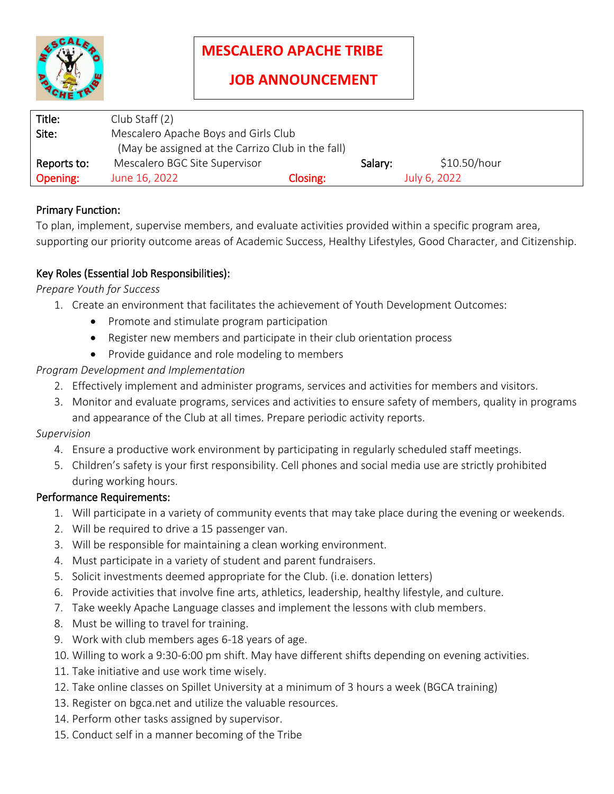

# **MESCALERO APACHE TRIBE**

| Title:      | Club Staff (2)                                    |          |         |              |
|-------------|---------------------------------------------------|----------|---------|--------------|
| Site:       | Mescalero Apache Boys and Girls Club              |          |         |              |
|             | (May be assigned at the Carrizo Club in the fall) |          |         |              |
| Reports to: | Mescalero BGC Site Supervisor                     |          | Salary: | \$10.50/hour |
| Opening:    | June 16, 2022                                     | Closing: |         | July 6, 2022 |

# Primary Function:

To plan, implement, supervise members, and evaluate activities provided within a specific program area, supporting our priority outcome areas of Academic Success, Healthy Lifestyles, Good Character, and Citizenship.

# Key Roles (Essential Job Responsibilities):

#### *Prepare Youth for Success*

- 1. Create an environment that facilitates the achievement of Youth Development Outcomes:
	- Promote and stimulate program participation
	- Register new members and participate in their club orientation process
	- Provide guidance and role modeling to members

# *Program Development and Implementation*

- 2. Effectively implement and administer programs, services and activities for members and visitors.
- 3. Monitor and evaluate programs, services and activities to ensure safety of members, quality in programs and appearance of the Club at all times. Prepare periodic activity reports.

#### *Supervision*

- 4. Ensure a productive work environment by participating in regularly scheduled staff meetings.
- 5. Children's safety is your first responsibility. Cell phones and social media use are strictly prohibited during working hours.

#### Performance Requirements:

- 1. Will participate in a variety of community events that may take place during the evening or weekends.
- 2. Will be required to drive a 15 passenger van.
- 3. Will be responsible for maintaining a clean working environment.
- 4. Must participate in a variety of student and parent fundraisers.
- 5. Solicit investments deemed appropriate for the Club. (i.e. donation letters)
- 6. Provide activities that involve fine arts, athletics, leadership, healthy lifestyle, and culture.
- 7. Take weekly Apache Language classes and implement the lessons with club members.
- 8. Must be willing to travel for training.
- 9. Work with club members ages 6-18 years of age.
- 10. Willing to work a 9:30-6:00 pm shift. May have different shifts depending on evening activities.
- 11. Take initiative and use work time wisely.
- 12. Take online classes on Spillet University at a minimum of 3 hours a week (BGCA training)
- 13. Register on bgca.net and utilize the valuable resources.
- 14. Perform other tasks assigned by supervisor.
- 15. Conduct self in a manner becoming of the Tribe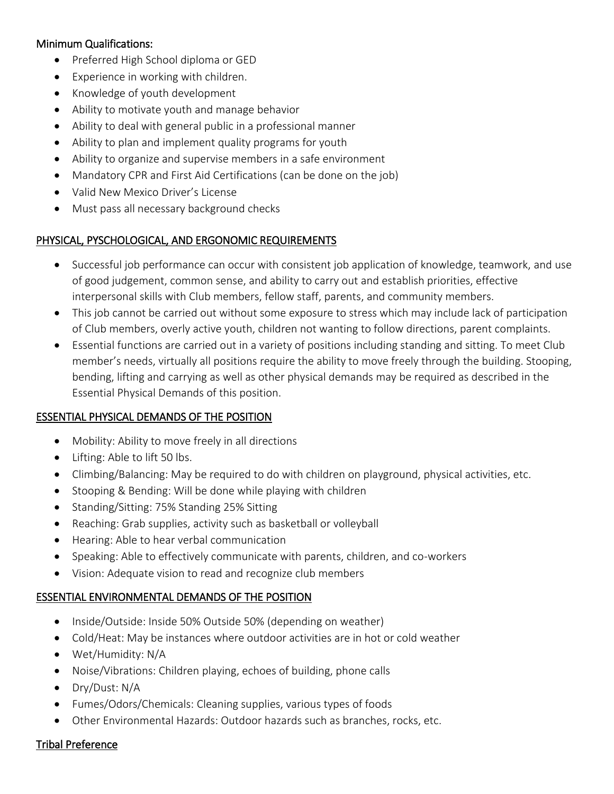#### Minimum Qualifications:

- Preferred High School diploma or GED
- Experience in working with children.
- Knowledge of youth development
- Ability to motivate youth and manage behavior
- Ability to deal with general public in a professional manner
- Ability to plan and implement quality programs for youth
- Ability to organize and supervise members in a safe environment
- Mandatory CPR and First Aid Certifications (can be done on the job)
- Valid New Mexico Driver's License
- Must pass all necessary background checks

# PHYSICAL, PYSCHOLOGICAL, AND ERGONOMIC REQUIREMENTS

- Successful job performance can occur with consistent job application of knowledge, teamwork, and use of good judgement, common sense, and ability to carry out and establish priorities, effective interpersonal skills with Club members, fellow staff, parents, and community members.
- This job cannot be carried out without some exposure to stress which may include lack of participation of Club members, overly active youth, children not wanting to follow directions, parent complaints.
- Essential functions are carried out in a variety of positions including standing and sitting. To meet Club member's needs, virtually all positions require the ability to move freely through the building. Stooping, bending, lifting and carrying as well as other physical demands may be required as described in the Essential Physical Demands of this position.

#### ESSENTIAL PHYSICAL DEMANDS OF THE POSITION

- Mobility: Ability to move freely in all directions
- Lifting: Able to lift 50 lbs.
- Climbing/Balancing: May be required to do with children on playground, physical activities, etc.
- Stooping & Bending: Will be done while playing with children
- Standing/Sitting: 75% Standing 25% Sitting
- Reaching: Grab supplies, activity such as basketball or volleyball
- Hearing: Able to hear verbal communication
- Speaking: Able to effectively communicate with parents, children, and co-workers
- Vision: Adequate vision to read and recognize club members

#### ESSENTIAL ENVIRONMENTAL DEMANDS OF THE POSITION

- Inside/Outside: Inside 50% Outside 50% (depending on weather)
- Cold/Heat: May be instances where outdoor activities are in hot or cold weather
- Wet/Humidity: N/A
- Noise/Vibrations: Children playing, echoes of building, phone calls
- Dry/Dust: N/A
- Fumes/Odors/Chemicals: Cleaning supplies, various types of foods
- Other Environmental Hazards: Outdoor hazards such as branches, rocks, etc.

#### Tribal Preference